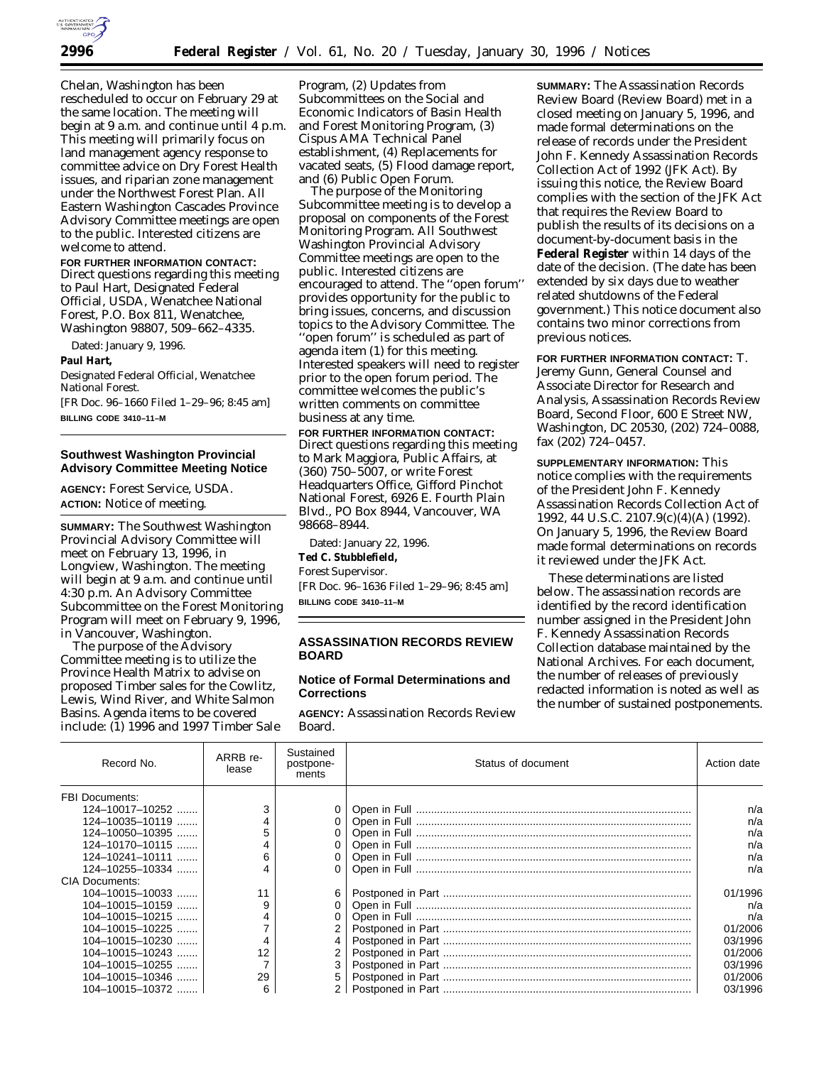

Chelan, Washington has been rescheduled to occur on February 29 at the same location. The meeting will begin at 9 a.m. and continue until 4 p.m. This meeting will primarily focus on land management agency response to committee advice on Dry Forest Health issues, and riparian zone management under the Northwest Forest Plan. All Eastern Washington Cascades Province Advisory Committee meetings are open to the public. Interested citizens are welcome to attend.

# **FOR FURTHER INFORMATION CONTACT:**

Direct questions regarding this meeting to Paul Hart, Designated Federal Official, USDA, Wenatchee National Forest, P.O. Box 811, Wenatchee, Washington 98807, 509–662–4335.

Dated: January 9, 1996.

**Paul Hart,**

*Designated Federal Official, Wenatchee National Forest.*

[FR Doc. 96–1660 Filed 1–29–96; 8:45 am] **BILLING CODE 3410–11–M**

### **Southwest Washington Provincial Advisory Committee Meeting Notice**

**AGENCY:** Forest Service, USDA. **ACTION:** Notice of meeting.

**SUMMARY:** The Southwest Washington Provincial Advisory Committee will meet on February 13, 1996, in Longview, Washington. The meeting will begin at 9 a.m. and continue until 4:30 p.m. An Advisory Committee Subcommittee on the Forest Monitoring Program will meet on February 9, 1996, in Vancouver, Washington.

The purpose of the Advisory Committee meeting is to utilize the Province Health Matrix to advise on proposed Timber sales for the Cowlitz, Lewis, Wind River, and White Salmon Basins. Agenda items to be covered include: (1) 1996 and 1997 Timber Sale

Program, (2) Updates from Subcommittees on the Social and Economic Indicators of Basin Health and Forest Monitoring Program, (3) Cispus AMA Technical Panel establishment, (4) Replacements for vacated seats, (5) Flood damage report, and (6) Public Open Forum.

The purpose of the Monitoring Subcommittee meeting is to develop a proposal on components of the Forest Monitoring Program. All Southwest Washington Provincial Advisory Committee meetings are open to the public. Interested citizens are encouraged to attend. The ''open forum'' provides opportunity for the public to bring issues, concerns, and discussion topics to the Advisory Committee. The ''open forum'' is scheduled as part of agenda item (1) for this meeting. Interested speakers will need to register prior to the open forum period. The committee welcomes the public's written comments on committee business at any time.

**FOR FURTHER INFORMATION CONTACT:** Direct questions regarding this meeting to Mark Maggiora, Public Affairs, at (360) 750–5007, or write Forest Headquarters Office, Gifford Pinchot National Forest, 6926 E. Fourth Plain Blvd., PO Box 8944, Vancouver, WA 98668–8944.

Dated: January 22, 1996. **Ted C. Stubblefield,** *Forest Supervisor.* [FR Doc. 96–1636 Filed 1–29–96; 8:45 am] **BILLING CODE 3410–11–M**

# **ASSASSINATION RECORDS REVIEW BOARD**

# **Notice of Formal Determinations and Corrections**

**AGENCY:** Assassination Records Review Board.

**SUMMARY:** The Assassination Records Review Board (Review Board) met in a closed meeting on January 5, 1996, and made formal determinations on the release of records under the President John F. Kennedy Assassination Records Collection Act of 1992 (JFK Act). By issuing this notice, the Review Board complies with the section of the JFK Act that requires the Review Board to publish the results of its decisions on a document-by-document basis in the **Federal Register** within 14 days of the date of the decision. (The date has been extended by six days due to weather related shutdowns of the Federal government.) This notice document also contains two minor corrections from previous notices.

**FOR FURTHER INFORMATION CONTACT:** T. Jeremy Gunn, General Counsel and Associate Director for Research and Analysis, Assassination Records Review Board, Second Floor, 600 E Street NW, Washington, DC 20530, (202) 724–0088, fax (202) 724–0457.

**SUPPLEMENTARY INFORMATION:** This notice complies with the requirements of the President John F. Kennedy Assassination Records Collection Act of 1992, 44 U.S.C. 2107.9(c)(4)(A) (1992). On January 5, 1996, the Review Board made formal determinations on records it reviewed under the JFK Act.

These determinations are listed below. The assassination records are identified by the record identification number assigned in the President John F. Kennedy Assassination Records Collection database maintained by the National Archives. For each document, the number of releases of previously redacted information is noted as well as the number of sustained postponements.

| Record No.            | ARRB re-<br>lease | Sustained<br>postpone-<br>ments | Status of document | Action date |
|-----------------------|-------------------|---------------------------------|--------------------|-------------|
| <b>FBI Documents:</b> |                   |                                 |                    |             |
| $124 - 10017 - 10252$ |                   | 0                               |                    | n/a         |
| $124 - 10035 - 10119$ |                   |                                 |                    | n/a         |
| $124 - 10050 - 10395$ |                   |                                 |                    | n/a         |
| $124 - 10170 - 10115$ |                   |                                 |                    | n/a         |
| $124 - 10241 - 10111$ | 6                 |                                 |                    | n/a         |
| $124 - 10255 - 10334$ |                   |                                 |                    | n/a         |
| CIA Documents:        |                   |                                 |                    |             |
| $104 - 10015 - 10033$ | 11                | 6                               |                    | 01/1996     |
| $104 - 10015 - 10159$ |                   |                                 |                    | n/a         |
| $104 - 10015 - 10215$ |                   |                                 |                    | n/a         |
| $104 - 10015 - 10225$ |                   | 2                               |                    | 01/2006     |
| $104 - 10015 - 10230$ |                   | 4                               |                    | 03/1996     |
| $104 - 10015 - 10243$ | 12                |                                 |                    | 01/2006     |
| $104 - 10015 - 10255$ |                   | 3                               |                    | 03/1996     |
| $104 - 10015 - 10346$ | 29                | 5                               |                    | 01/2006     |
| $104 - 10015 - 10372$ | 6                 | $\mathcal{P}$                   |                    | 03/1996     |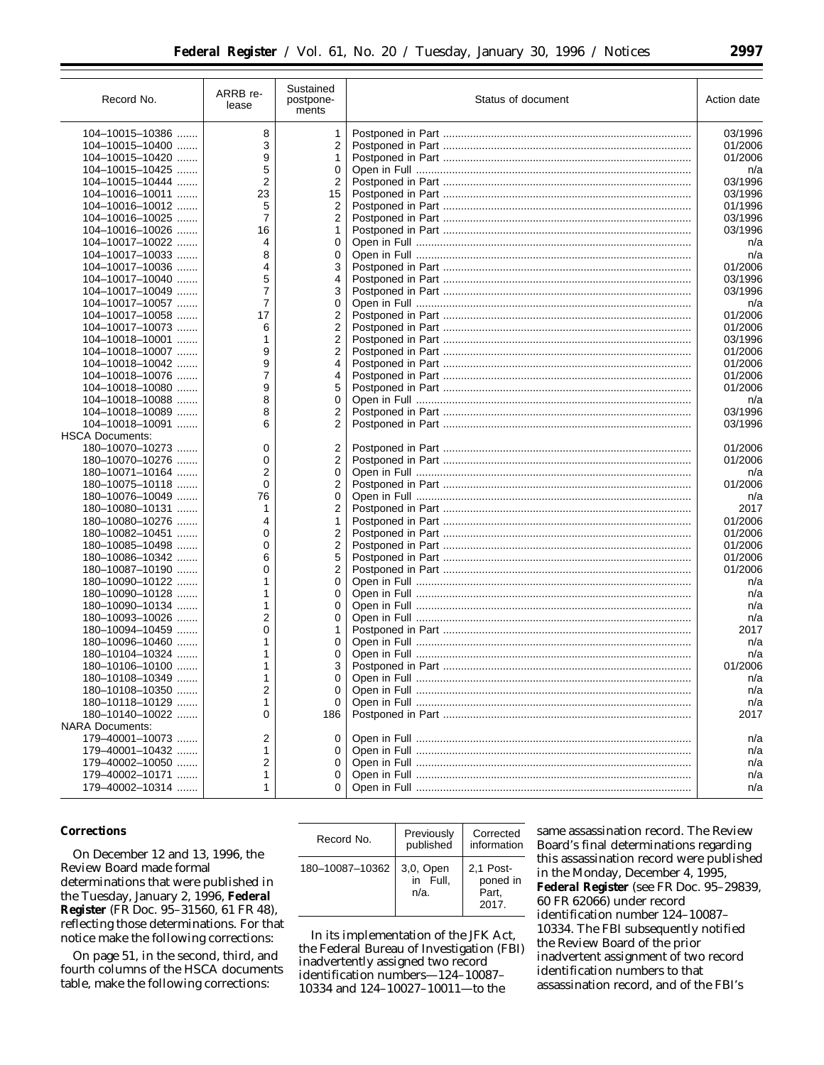| Record No.             | ARRB re-<br>lease | Sustained<br>postpone-<br>ments | Status of document | Action date |
|------------------------|-------------------|---------------------------------|--------------------|-------------|
| 104-10015-10386        | 8                 | 1                               |                    | 03/1996     |
| 104-10015-10400        | 3                 | 2                               |                    | 01/2006     |
| 104-10015-10420        | 9                 | 1                               |                    | 01/2006     |
| 104-10015-10425        | 5                 | 0                               |                    |             |
|                        | $\overline{2}$    |                                 |                    | n/a         |
| $104 - 10015 - 10444$  |                   | 2                               |                    | 03/1996     |
| $104 - 10016 - 10011$  | 23                | 15                              |                    | 03/1996     |
| 104-10016-10012        | 5                 | 2                               |                    | 01/1996     |
| 104-10016-10025        | $\overline{7}$    | 2                               |                    | 03/1996     |
| $104 - 10016 - 10026$  | 16                | 1                               |                    | 03/1996     |
| 104-10017-10022        | 4                 | 0                               |                    | n/a         |
| $104 - 10017 - 10033$  | 8                 | 0                               |                    | n/a         |
| 104-10017-10036        | 4                 | 3                               |                    | 01/2006     |
| 104-10017-10040        | 5                 | 4                               |                    | 03/1996     |
| 104-10017-10049        | $\overline{7}$    | 3                               |                    | 03/1996     |
| 104-10017-10057        | 7                 | 0                               |                    | n/a         |
| 104-10017-10058        | 17                | 2                               |                    | 01/2006     |
| 104-10017-10073        | 6                 | 2                               |                    | 01/2006     |
| 104-10018-10001        | 1                 | 2                               |                    | 03/1996     |
| 104-10018-10007        | 9                 | 2                               |                    | 01/2006     |
| 104-10018-10042        | 9                 | 4                               |                    | 01/2006     |
| 104-10018-10076        | 7                 | 4                               |                    | 01/2006     |
| 104-10018-10080        | 9                 | 5                               |                    | 01/2006     |
| $104 - 10018 - 10088$  | 8                 | 0                               |                    | n/a         |
| 104-10018-10089        | 8                 | 2                               |                    | 03/1996     |
| 104-10018-10091        | 6                 | 2                               |                    | 03/1996     |
| <b>HSCA Documents:</b> |                   |                                 |                    |             |
| 180-10070-10273        | 0                 | 2                               |                    | 01/2006     |
| 180-10070-10276        | 0                 | 2                               |                    | 01/2006     |
| 180-10071-10164        | 2                 | 0                               |                    |             |
|                        | $\Omega$          |                                 |                    | n/a         |
| 180-10075-10118        |                   | 2                               |                    | 01/2006     |
| 180-10076-10049        | 76                | 0                               |                    | n/a         |
| 180-10080-10131        | 1                 | 2                               |                    | 2017        |
| 180-10080-10276        | 4                 | 1                               |                    | 01/2006     |
| 180-10082-10451        | 0                 | 2                               |                    | 01/2006     |
| 180-10085-10498        | 0                 | 2                               |                    | 01/2006     |
| 180-10086-10342        | 6                 | 5                               |                    | 01/2006     |
| 180-10087-10190        | 0                 | 2                               |                    | 01/2006     |
| 180-10090-10122        | 1                 | 0                               |                    | n/a         |
| 180-10090-10128        | 1                 | 0                               |                    | n/a         |
| 180-10090-10134        | 1                 | 0                               |                    | n/a         |
| 180-10093-10026        | 2                 | 0                               |                    | n/a         |
| 180-10094-10459        | 0                 | 1                               |                    | 2017        |
| 180-10096-10460        | 1                 | 0                               |                    | n/a         |
| 180-10104-10324        | 1                 | 0                               |                    | n/a         |
| 180-10106-10100        | 1                 | 3                               |                    | 01/2006     |
| 180-10108-10349        |                   | 0                               |                    | n/a         |
| 180-10108-10350        | 2                 | 0                               |                    | n/a         |
| 180-10118-10129        | 1                 | 0                               |                    | n/a         |
| 180-10140-10022        | 0                 | 186                             |                    | 2017        |
| <b>NARA Documents:</b> |                   |                                 |                    |             |
| 179-40001-10073        | 2                 | 0                               |                    | n/a         |
| 179-40001-10432        | 1                 |                                 |                    | n/a         |
| 179-40002-10050        | 2                 |                                 |                    | n/a         |
| 179-40002-10171        | 1                 | 0                               |                    | n/a         |
| 179-40002-10314        | 1                 | 0                               |                    | n/a         |
|                        |                   |                                 |                    |             |

### **Corrections**

On December 12 and 13, 1996, the Review Board made formal determinations that were published in the Tuesday, January 2, 1996, **Federal Register** (FR Doc. 95–31560, 61 FR 48), reflecting those determinations. For that notice make the following corrections:

On page 51, in the second, third, and fourth columns of the HSCA documents table, make the following corrections:

| Record No.      | Previously<br>published          | Corrected<br>information                |  |  |  |  |
|-----------------|----------------------------------|-----------------------------------------|--|--|--|--|
| 180-10087-10362 | 3,0, Open<br>in Full,<br>$n/a$ . | 2.1 Post-<br>poned in<br>Part,<br>2017. |  |  |  |  |

In its implementation of the JFK Act, the Federal Bureau of Investigation (FBI) inadvertently assigned two record identification numbers—124–10087– 10334 and 124–10027–10011—to the

same assassination record. The Review Board's final determinations regarding this assassination record were published in the Monday, December 4, 1995, **Federal Register** (see FR Doc. 95–29839, 60 FR 62066) under record identification number 124–10087– 10334. The FBI subsequently notified the Review Board of the prior inadvertent assignment of two record identification numbers to that assassination record, and of the FBI's